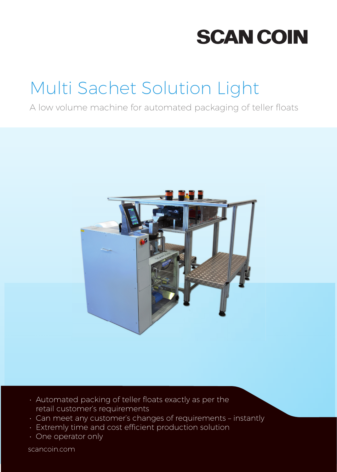# **SCAN COIN**

# Multi Sachet Solution Light

### A low volume machine for automated packaging of teller floats



- Automated packing of teller floats exactly as per the retail customer's requirements
- Can meet any customer's changes of requirements instantly
- Extremly time and cost efficient production solution
- One operator only

scancoin.com